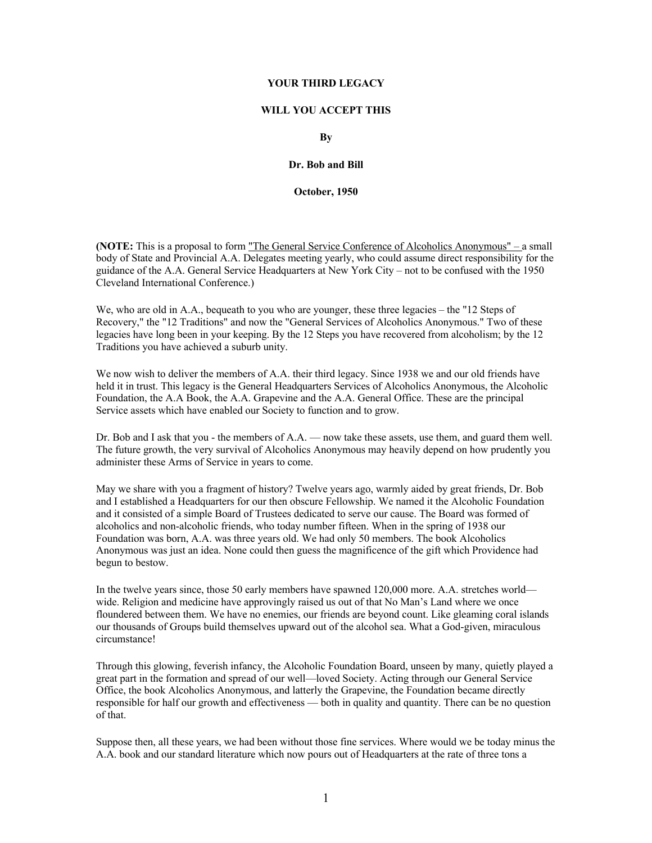#### **YOUR THIRD LEGACY**

#### **WILL YOU ACCEPT THIS**

#### **By**

#### **Dr. Bob and Bill**

#### **October, 1950**

**(NOTE:** This is a proposal to form "The General Service Conference of Alcoholics Anonymous" – a small body of State and Provincial A.A. Delegates meeting yearly, who could assume direct responsibility for the guidance of the A.A. General Service Headquarters at New York City – not to be confused with the 1950 Cleveland International Conference.)

We, who are old in A.A., bequeath to you who are younger, these three legacies – the "12 Steps of Recovery," the "12 Traditions" and now the "General Services of Alcoholics Anonymous." Two of these legacies have long been in your keeping. By the 12 Steps you have recovered from alcoholism; by the 12 Traditions you have achieved a suburb unity.

We now wish to deliver the members of A.A. their third legacy. Since 1938 we and our old friends have held it in trust. This legacy is the General Headquarters Services of Alcoholics Anonymous, the Alcoholic Foundation, the A.A Book, the A.A. Grapevine and the A.A. General Office. These are the principal Service assets which have enabled our Society to function and to grow.

Dr. Bob and I ask that you - the members of A.A. — now take these assets, use them, and guard them well. The future growth, the very survival of Alcoholics Anonymous may heavily depend on how prudently you administer these Arms of Service in years to come.

May we share with you a fragment of history? Twelve years ago, warmly aided by great friends, Dr. Bob and I established a Headquarters for our then obscure Fellowship. We named it the Alcoholic Foundation and it consisted of a simple Board of Trustees dedicated to serve our cause. The Board was formed of alcoholics and non-alcoholic friends, who today number fifteen. When in the spring of 1938 our Foundation was born, A.A. was three years old. We had only 50 members. The book Alcoholics Anonymous was just an idea. None could then guess the magnificence of the gift which Providence had begun to bestow.

In the twelve years since, those 50 early members have spawned 120,000 more. A.A. stretches world wide. Religion and medicine have approvingly raised us out of that No Man's Land where we once floundered between them. We have no enemies, our friends are beyond count. Like gleaming coral islands our thousands of Groups build themselves upward out of the alcohol sea. What a God-given, miraculous circumstance!

Through this glowing, feverish infancy, the Alcoholic Foundation Board, unseen by many, quietly played a great part in the formation and spread of our well—loved Society. Acting through our General Service Office, the book Alcoholics Anonymous, and latterly the Grapevine, the Foundation became directly responsible for half our growth and effectiveness — both in quality and quantity. There can be no question of that.

Suppose then, all these years, we had been without those fine services. Where would we be today minus the A.A. book and our standard literature which now pours out of Headquarters at the rate of three tons a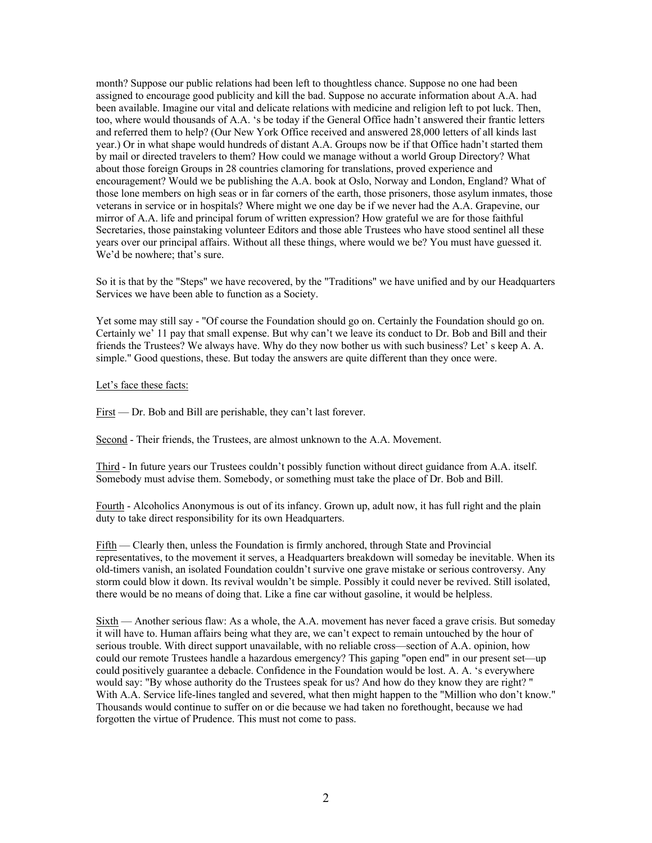month? Suppose our public relations had been left to thoughtless chance. Suppose no one had been assigned to encourage good publicity and kill the bad. Suppose no accurate information about A.A. had been available. Imagine our vital and delicate relations with medicine and religion left to pot luck. Then, too, where would thousands of A.A. 's be today if the General Office hadn't answered their frantic letters and referred them to help? (Our New York Office received and answered 28,000 letters of all kinds last year.) Or in what shape would hundreds of distant A.A. Groups now be if that Office hadn't started them by mail or directed travelers to them? How could we manage without a world Group Directory? What about those foreign Groups in 28 countries clamoring for translations, proved experience and encouragement? Would we be publishing the A.A. book at Oslo, Norway and London, England? What of those lone members on high seas or in far corners of the earth, those prisoners, those asylum inmates, those veterans in service or in hospitals? Where might we one day be if we never had the A.A. Grapevine, our mirror of A.A. life and principal forum of written expression? How grateful we are for those faithful Secretaries, those painstaking volunteer Editors and those able Trustees who have stood sentinel all these years over our principal affairs. Without all these things, where would we be? You must have guessed it. We'd be nowhere; that's sure.

So it is that by the "Steps" we have recovered, by the "Traditions" we have unified and by our Headquarters Services we have been able to function as a Society.

Yet some may still say - "Of course the Foundation should go on. Certainly the Foundation should go on. Certainly we' 11 pay that small expense. But why can't we leave its conduct to Dr. Bob and Bill and their friends the Trustees? We always have. Why do they now bother us with such business? Let' s keep A. A. simple." Good questions, these. But today the answers are quite different than they once were.

#### Let's face these facts:

First — Dr. Bob and Bill are perishable, they can't last forever.

Second - Their friends, the Trustees, are almost unknown to the A.A. Movement.

Third - In future years our Trustees couldn't possibly function without direct guidance from A.A. itself. Somebody must advise them. Somebody, or something must take the place of Dr. Bob and Bill.

Fourth - Alcoholics Anonymous is out of its infancy. Grown up, adult now, it has full right and the plain duty to take direct responsibility for its own Headquarters.

Fifth — Clearly then, unless the Foundation is firmly anchored, through State and Provincial representatives, to the movement it serves, a Headquarters breakdown will someday be inevitable. When its old-timers vanish, an isolated Foundation couldn't survive one grave mistake or serious controversy. Any storm could blow it down. Its revival wouldn't be simple. Possibly it could never be revived. Still isolated, there would be no means of doing that. Like a fine car without gasoline, it would be helpless.

Sixth — Another serious flaw: As a whole, the A.A. movement has never faced a grave crisis. But someday it will have to. Human affairs being what they are, we can't expect to remain untouched by the hour of serious trouble. With direct support unavailable, with no reliable cross—section of A.A. opinion, how could our remote Trustees handle a hazardous emergency? This gaping "open end" in our present set—up could positively guarantee a debacle. Confidence in the Foundation would be lost. A. A. 's everywhere would say: "By whose authority do the Trustees speak for us? And how do they know they are right? " With A.A. Service life-lines tangled and severed, what then might happen to the "Million who don't know." Thousands would continue to suffer on or die because we had taken no forethought, because we had forgotten the virtue of Prudence. This must not come to pass.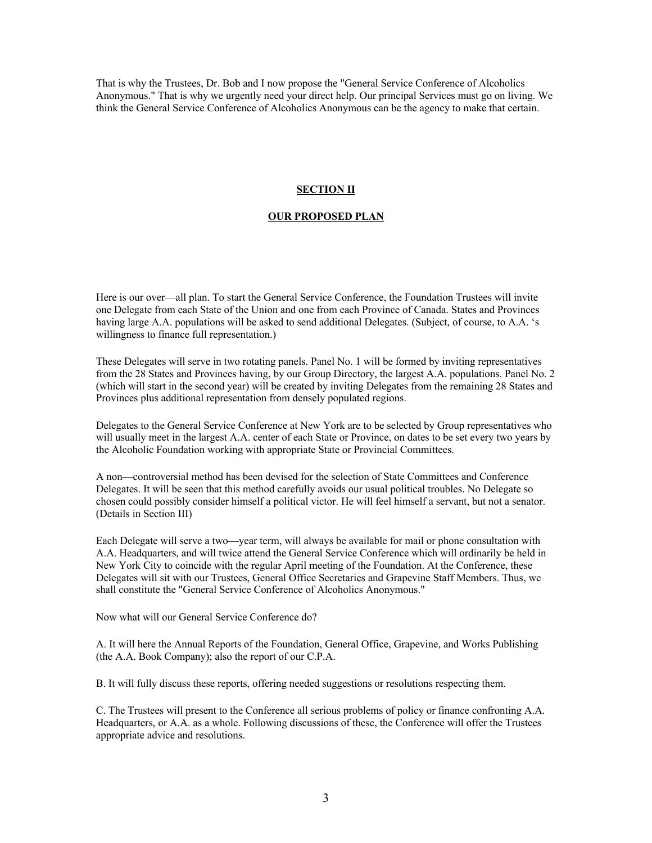That is why the Trustees, Dr. Bob and I now propose the "General Service Conference of Alcoholics Anonymous." That is why we urgently need your direct help. Our principal Services must go on living. We think the General Service Conference of Alcoholics Anonymous can be the agency to make that certain.

#### **SECTION II**

### **OUR PROPOSED PLAN**

Here is our over—all plan. To start the General Service Conference, the Foundation Trustees will invite one Delegate from each State of the Union and one from each Province of Canada. States and Provinces having large A.A. populations will be asked to send additional Delegates. (Subject, of course, to A.A. 's willingness to finance full representation.)

These Delegates will serve in two rotating panels. Panel No. 1 will be formed by inviting representatives from the 28 States and Provinces having, by our Group Directory, the largest A.A. populations. Panel No. 2 (which will start in the second year) will be created by inviting Delegates from the remaining 28 States and Provinces plus additional representation from densely populated regions.

Delegates to the General Service Conference at New York are to be selected by Group representatives who will usually meet in the largest A.A. center of each State or Province, on dates to be set every two years by the Alcoholic Foundation working with appropriate State or Provincial Committees.

A non—controversial method has been devised for the selection of State Committees and Conference Delegates. It will be seen that this method carefully avoids our usual political troubles. No Delegate so chosen could possibly consider himself a political victor. He will feel himself a servant, but not a senator. (Details in Section III)

Each Delegate will serve a two—year term, will always be available for mail or phone consultation with A.A. Headquarters, and will twice attend the General Service Conference which will ordinarily be held in New York City to coincide with the regular April meeting of the Foundation. At the Conference, these Delegates will sit with our Trustees, General Office Secretaries and Grapevine Staff Members. Thus, we shall constitute the "General Service Conference of Alcoholics Anonymous."

Now what will our General Service Conference do?

A. It will here the Annual Reports of the Foundation, General Office, Grapevine, and Works Publishing (the A.A. Book Company); also the report of our C.P.A.

B. It will fully discuss these reports, offering needed suggestions or resolutions respecting them.

C. The Trustees will present to the Conference all serious problems of policy or finance confronting A.A. Headquarters, or A.A. as a whole. Following discussions of these, the Conference will offer the Trustees appropriate advice and resolutions.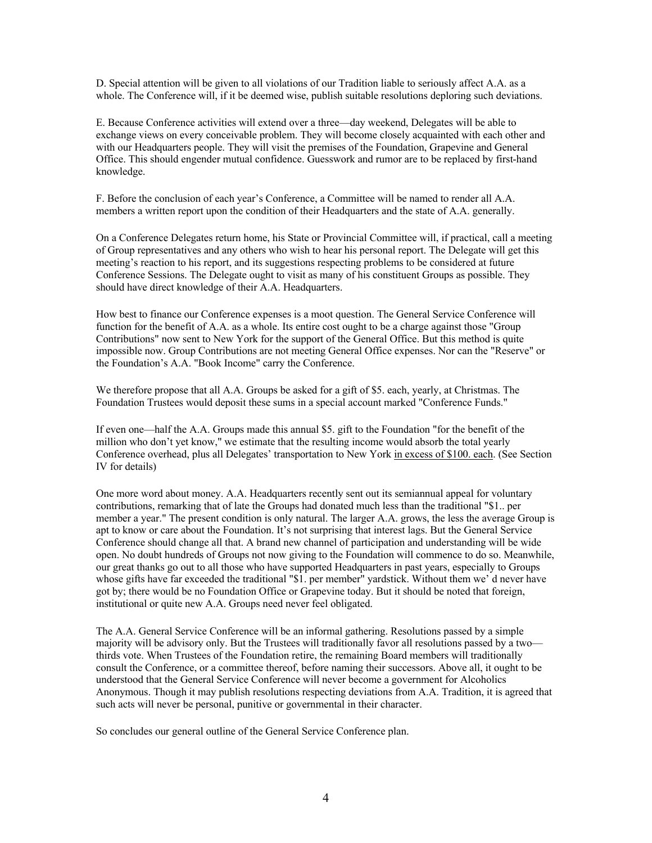D. Special attention will be given to all violations of our Tradition liable to seriously affect A.A. as a whole. The Conference will, if it be deemed wise, publish suitable resolutions deploring such deviations.

E. Because Conference activities will extend over a three—day weekend, Delegates will be able to exchange views on every conceivable problem. They will become closely acquainted with each other and with our Headquarters people. They will visit the premises of the Foundation, Grapevine and General Office. This should engender mutual confidence. Guesswork and rumor are to be replaced by first-hand knowledge.

F. Before the conclusion of each year's Conference, a Committee will be named to render all A.A. members a written report upon the condition of their Headquarters and the state of A.A. generally.

On a Conference Delegates return home, his State or Provincial Committee will, if practical, call a meeting of Group representatives and any others who wish to hear his personal report. The Delegate will get this meeting's reaction to his report, and its suggestions respecting problems to be considered at future Conference Sessions. The Delegate ought to visit as many of his constituent Groups as possible. They should have direct knowledge of their A.A. Headquarters.

How best to finance our Conference expenses is a moot question. The General Service Conference will function for the benefit of A.A. as a whole. Its entire cost ought to be a charge against those "Group Contributions" now sent to New York for the support of the General Office. But this method is quite impossible now. Group Contributions are not meeting General Office expenses. Nor can the "Reserve" or the Foundation's A.A. "Book Income" carry the Conference.

We therefore propose that all A.A. Groups be asked for a gift of \$5, each, yearly, at Christmas. The Foundation Trustees would deposit these sums in a special account marked "Conference Funds."

If even one—half the A.A. Groups made this annual \$5. gift to the Foundation "for the benefit of the million who don't yet know," we estimate that the resulting income would absorb the total yearly Conference overhead, plus all Delegates' transportation to New York in excess of \$100. each. (See Section IV for details)

One more word about money. A.A. Headquarters recently sent out its semiannual appeal for voluntary contributions, remarking that of late the Groups had donated much less than the traditional "\$1.. per member a year." The present condition is only natural. The larger A.A. grows, the less the average Group is apt to know or care about the Foundation. It's not surprising that interest lags. But the General Service Conference should change all that. A brand new channel of participation and understanding will be wide open. No doubt hundreds of Groups not now giving to the Foundation will commence to do so. Meanwhile, our great thanks go out to all those who have supported Headquarters in past years, especially to Groups whose gifts have far exceeded the traditional "\$1. per member" yardstick. Without them we' d never have got by; there would be no Foundation Office or Grapevine today. But it should be noted that foreign, institutional or quite new A.A. Groups need never feel obligated.

The A.A. General Service Conference will be an informal gathering. Resolutions passed by a simple majority will be advisory only. But the Trustees will traditionally favor all resolutions passed by a two thirds vote. When Trustees of the Foundation retire, the remaining Board members will traditionally consult the Conference, or a committee thereof, before naming their successors. Above all, it ought to be understood that the General Service Conference will never become a government for Alcoholics Anonymous. Though it may publish resolutions respecting deviations from A.A. Tradition, it is agreed that such acts will never be personal, punitive or governmental in their character.

So concludes our general outline of the General Service Conference plan.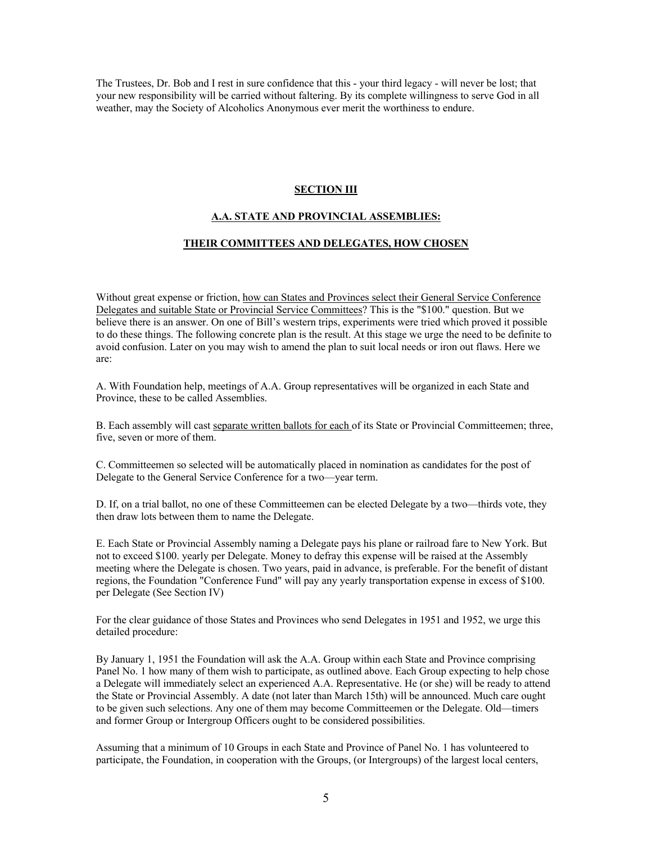The Trustees, Dr. Bob and I rest in sure confidence that this - your third legacy - will never be lost; that your new responsibility will be carried without faltering. By its complete willingness to serve God in all weather, may the Society of Alcoholics Anonymous ever merit the worthiness to endure.

#### **SECTION III**

## **A.A. STATE AND PROVINCIAL ASSEMBLIES:**

#### **THEIR COMMITTEES AND DELEGATES, HOW CHOSEN**

Without great expense or friction, how can States and Provinces select their General Service Conference Delegates and suitable State or Provincial Service Committees? This is the "\$100." question. But we believe there is an answer. On one of Bill's western trips, experiments were tried which proved it possible to do these things. The following concrete plan is the result. At this stage we urge the need to be definite to avoid confusion. Later on you may wish to amend the plan to suit local needs or iron out flaws. Here we are:

A. With Foundation help, meetings of A.A. Group representatives will be organized in each State and Province, these to be called Assemblies.

B. Each assembly will cast separate written ballots for each of its State or Provincial Committeemen; three, five, seven or more of them.

C. Committeemen so selected will be automatically placed in nomination as candidates for the post of Delegate to the General Service Conference for a two—year term.

D. If, on a trial ballot, no one of these Committeemen can be elected Delegate by a two—thirds vote, they then draw lots between them to name the Delegate.

E. Each State or Provincial Assembly naming a Delegate pays his plane or railroad fare to New York. But not to exceed \$100. yearly per Delegate. Money to defray this expense will be raised at the Assembly meeting where the Delegate is chosen. Two years, paid in advance, is preferable. For the benefit of distant regions, the Foundation "Conference Fund" will pay any yearly transportation expense in excess of \$100. per Delegate (See Section IV)

For the clear guidance of those States and Provinces who send Delegates in 1951 and 1952, we urge this detailed procedure:

By January 1, 1951 the Foundation will ask the A.A. Group within each State and Province comprising Panel No. 1 how many of them wish to participate, as outlined above. Each Group expecting to help chose a Delegate will immediately select an experienced A.A. Representative. He (or she) will be ready to attend the State or Provincial Assembly. A date (not later than March 15th) will be announced. Much care ought to be given such selections. Any one of them may become Committeemen or the Delegate. Old—timers and former Group or Intergroup Officers ought to be considered possibilities.

Assuming that a minimum of 10 Groups in each State and Province of Panel No. 1 has volunteered to participate, the Foundation, in cooperation with the Groups, (or Intergroups) of the largest local centers,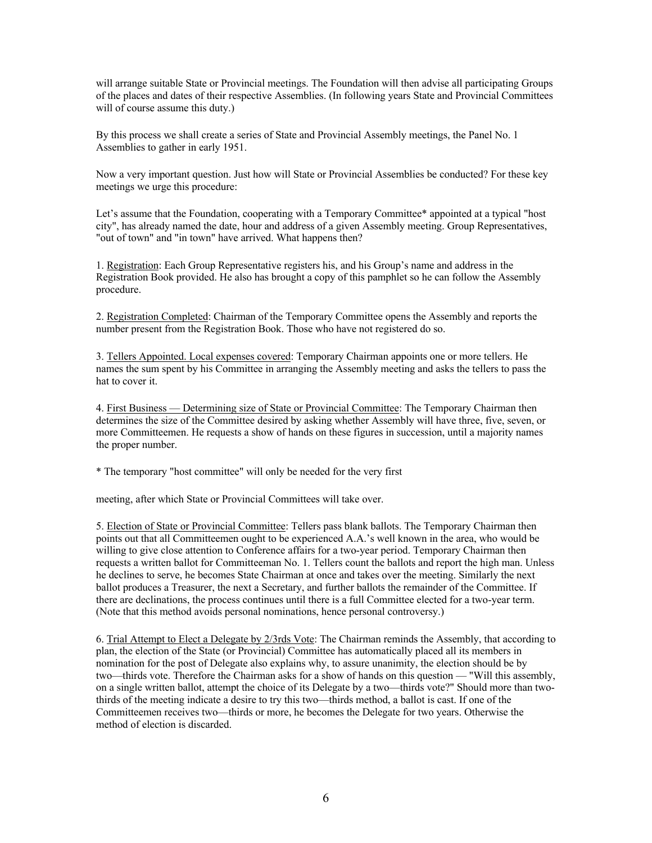will arrange suitable State or Provincial meetings. The Foundation will then advise all participating Groups of the places and dates of their respective Assemblies. (In following years State and Provincial Committees will of course assume this duty.)

By this process we shall create a series of State and Provincial Assembly meetings, the Panel No. 1 Assemblies to gather in early 1951.

Now a very important question. Just how will State or Provincial Assemblies be conducted? For these key meetings we urge this procedure:

Let's assume that the Foundation, cooperating with a Temporary Committee\* appointed at a typical "host city", has already named the date, hour and address of a given Assembly meeting. Group Representatives, "out of town" and "in town" have arrived. What happens then?

1. Registration: Each Group Representative registers his, and his Group's name and address in the Registration Book provided. He also has brought a copy of this pamphlet so he can follow the Assembly procedure.

2. Registration Completed: Chairman of the Temporary Committee opens the Assembly and reports the number present from the Registration Book. Those who have not registered do so.

3. Tellers Appointed. Local expenses covered: Temporary Chairman appoints one or more tellers. He names the sum spent by his Committee in arranging the Assembly meeting and asks the tellers to pass the hat to cover it.

4. First Business — Determining size of State or Provincial Committee: The Temporary Chairman then determines the size of the Committee desired by asking whether Assembly will have three, five, seven, or more Committeemen. He requests a show of hands on these figures in succession, until a majority names the proper number.

\* The temporary "host committee" will only be needed for the very first

meeting, after which State or Provincial Committees will take over.

5. Election of State or Provincial Committee: Tellers pass blank ballots. The Temporary Chairman then points out that all Committeemen ought to be experienced A.A.'s well known in the area, who would be willing to give close attention to Conference affairs for a two-year period. Temporary Chairman then requests a written ballot for Committeeman No. 1. Tellers count the ballots and report the high man. Unless he declines to serve, he becomes State Chairman at once and takes over the meeting. Similarly the next ballot produces a Treasurer, the next a Secretary, and further ballots the remainder of the Committee. If there are declinations, the process continues until there is a full Committee elected for a two-year term. (Note that this method avoids personal nominations, hence personal controversy.)

6. Trial Attempt to Elect a Delegate by 2/3rds Vote: The Chairman reminds the Assembly, that according to plan, the election of the State (or Provincial) Committee has automatically placed all its members in nomination for the post of Delegate also explains why, to assure unanimity, the election should be by two—thirds vote. Therefore the Chairman asks for a show of hands on this question — "Will this assembly, on a single written ballot, attempt the choice of its Delegate by a two—thirds vote?" Should more than twothirds of the meeting indicate a desire to try this two—thirds method, a ballot is cast. If one of the Committeemen receives two—thirds or more, he becomes the Delegate for two years. Otherwise the method of election is discarded.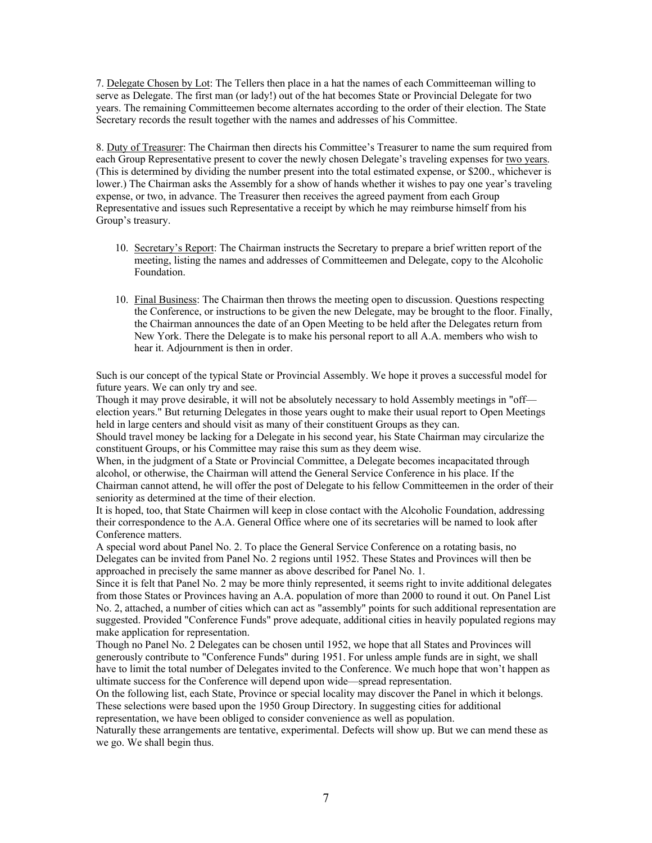7. Delegate Chosen by Lot: The Tellers then place in a hat the names of each Committeeman willing to serve as Delegate. The first man (or lady!) out of the hat becomes State or Provincial Delegate for two years. The remaining Committeemen become alternates according to the order of their election. The State Secretary records the result together with the names and addresses of his Committee.

8. Duty of Treasurer: The Chairman then directs his Committee's Treasurer to name the sum required from each Group Representative present to cover the newly chosen Delegate's traveling expenses for two years. (This is determined by dividing the number present into the total estimated expense, or \$200., whichever is lower.) The Chairman asks the Assembly for a show of hands whether it wishes to pay one year's traveling expense, or two, in advance. The Treasurer then receives the agreed payment from each Group Representative and issues such Representative a receipt by which he may reimburse himself from his Group's treasury.

- 10. Secretary's Report: The Chairman instructs the Secretary to prepare a brief written report of the meeting, listing the names and addresses of Committeemen and Delegate, copy to the Alcoholic Foundation.
- 10. Final Business: The Chairman then throws the meeting open to discussion. Questions respecting the Conference, or instructions to be given the new Delegate, may be brought to the floor. Finally, the Chairman announces the date of an Open Meeting to be held after the Delegates return from New York. There the Delegate is to make his personal report to all A.A. members who wish to hear it. Adjournment is then in order.

Such is our concept of the typical State or Provincial Assembly. We hope it proves a successful model for future years. We can only try and see.

Though it may prove desirable, it will not be absolutely necessary to hold Assembly meetings in "off election years." But returning Delegates in those years ought to make their usual report to Open Meetings held in large centers and should visit as many of their constituent Groups as they can.

Should travel money be lacking for a Delegate in his second year, his State Chairman may circularize the constituent Groups, or his Committee may raise this sum as they deem wise.

When, in the judgment of a State or Provincial Committee, a Delegate becomes incapacitated through alcohol, or otherwise, the Chairman will attend the General Service Conference in his place. If the Chairman cannot attend, he will offer the post of Delegate to his fellow Committeemen in the order of their seniority as determined at the time of their election.

It is hoped, too, that State Chairmen will keep in close contact with the Alcoholic Foundation, addressing their correspondence to the A.A. General Office where one of its secretaries will be named to look after Conference matters.

A special word about Panel No. 2. To place the General Service Conference on a rotating basis, no Delegates can be invited from Panel No. 2 regions until 1952. These States and Provinces will then be approached in precisely the same manner as above described for Panel No. 1.

Since it is felt that Panel No. 2 may be more thinly represented, it seems right to invite additional delegates from those States or Provinces having an A.A. population of more than 2000 to round it out. On Panel List No. 2, attached, a number of cities which can act as "assembly" points for such additional representation are suggested. Provided "Conference Funds" prove adequate, additional cities in heavily populated regions may make application for representation.

Though no Panel No. 2 Delegates can be chosen until 1952, we hope that all States and Provinces will generously contribute to "Conference Funds" during 1951. For unless ample funds are in sight, we shall have to limit the total number of Delegates invited to the Conference. We much hope that won't happen as ultimate success for the Conference will depend upon wide—spread representation.

On the following list, each State, Province or special locality may discover the Panel in which it belongs. These selections were based upon the 1950 Group Directory. In suggesting cities for additional representation, we have been obliged to consider convenience as well as population.

Naturally these arrangements are tentative, experimental. Defects will show up. But we can mend these as we go. We shall begin thus.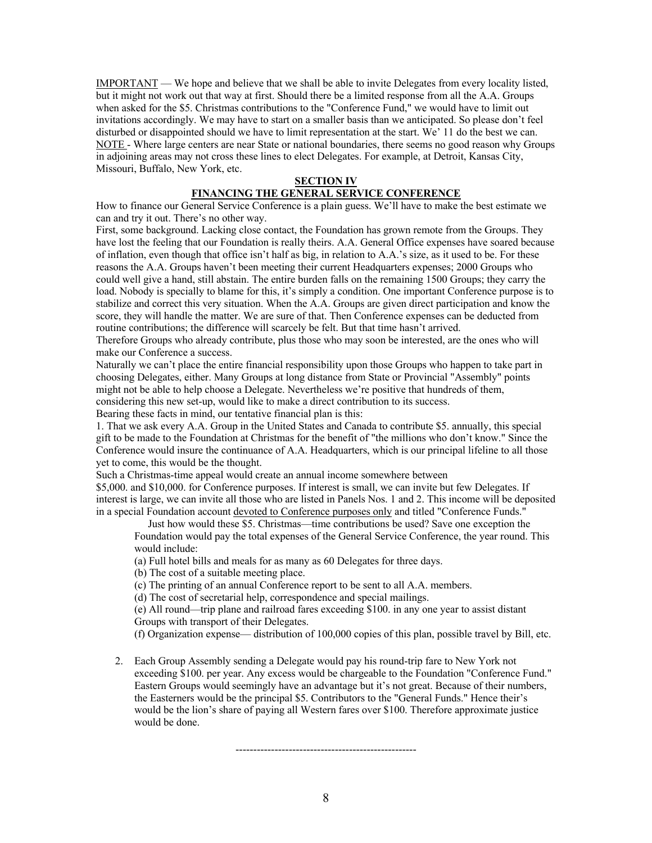IMPORTANT — We hope and believe that we shall be able to invite Delegates from every locality listed, but it might not work out that way at first. Should there be a limited response from all the A.A. Groups when asked for the \$5. Christmas contributions to the "Conference Fund," we would have to limit out invitations accordingly. We may have to start on a smaller basis than we anticipated. So please don't feel disturbed or disappointed should we have to limit representation at the start. We' 11 do the best we can. NOTE - Where large centers are near State or national boundaries, there seems no good reason why Groups in adjoining areas may not cross these lines to elect Delegates. For example, at Detroit, Kansas City, Missouri, Buffalo, New York, etc.

# **SECTION IV**

# **FINANCING THE GENERAL SERVICE CONFERENCE**

How to finance our General Service Conference is a plain guess. We'll have to make the best estimate we can and try it out. There's no other way.

First, some background. Lacking close contact, the Foundation has grown remote from the Groups. They have lost the feeling that our Foundation is really theirs. A.A. General Office expenses have soared because of inflation, even though that office isn't half as big, in relation to A.A.'s size, as it used to be. For these reasons the A.A. Groups haven't been meeting their current Headquarters expenses; 2000 Groups who could well give a hand, still abstain. The entire burden falls on the remaining 1500 Groups; they carry the load. Nobody is specially to blame for this, it's simply a condition. One important Conference purpose is to stabilize and correct this very situation. When the A.A. Groups are given direct participation and know the score, they will handle the matter. We are sure of that. Then Conference expenses can be deducted from routine contributions; the difference will scarcely be felt. But that time hasn't arrived.

Therefore Groups who already contribute, plus those who may soon be interested, are the ones who will make our Conference a success.

Naturally we can't place the entire financial responsibility upon those Groups who happen to take part in choosing Delegates, either. Many Groups at long distance from State or Provincial "Assembly" points might not be able to help choose a Delegate. Nevertheless we're positive that hundreds of them, considering this new set-up, would like to make a direct contribution to its success.

Bearing these facts in mind, our tentative financial plan is this:

1. That we ask every A.A. Group in the United States and Canada to contribute \$5. annually, this special gift to be made to the Foundation at Christmas for the benefit of "the millions who don't know." Since the Conference would insure the continuance of A.A. Headquarters, which is our principal lifeline to all those yet to come, this would be the thought.

Such a Christmas-time appeal would create an annual income somewhere between

\$5,000. and \$10,000. for Conference purposes. If interest is small, we can invite but few Delegates. If interest is large, we can invite all those who are listed in Panels Nos. 1 and 2. This income will be deposited in a special Foundation account devoted to Conference purposes only and titled "Conference Funds."

 Just how would these \$5. Christmas—time contributions be used? Save one exception the Foundation would pay the total expenses of the General Service Conference, the year round. This would include:

(a) Full hotel bills and meals for as many as 60 Delegates for three days.

(b) The cost of a suitable meeting place.

(c) The printing of an annual Conference report to be sent to all A.A. members.

(d) The cost of secretarial help, correspondence and special mailings.

(e) All round—trip plane and railroad fares exceeding \$100. in any one year to assist distant Groups with transport of their Delegates.

(f) Organization expense— distribution of 100,000 copies of this plan, possible travel by Bill, etc.

2. Each Group Assembly sending a Delegate would pay his round-trip fare to New York not exceeding \$100. per year. Any excess would be chargeable to the Foundation "Conference Fund." Eastern Groups would seemingly have an advantage but it's not great. Because of their numbers, the Easterners would be the principal \$5. Contributors to the "General Funds." Hence their's would be the lion's share of paying all Western fares over \$100. Therefore approximate justice would be done.

8

---------------------------------------------------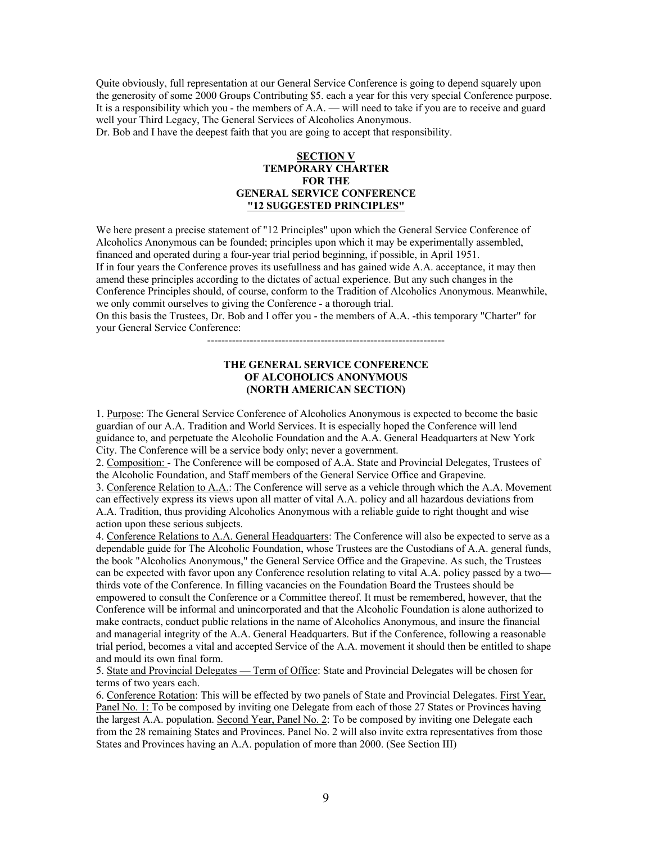Quite obviously, full representation at our General Service Conference is going to depend squarely upon the generosity of some 2000 Groups Contributing \$5. each a year for this very special Conference purpose. It is a responsibility which you - the members of A.A. — will need to take if you are to receive and guard well your Third Legacy, The General Services of Alcoholics Anonymous. Dr. Bob and I have the deepest faith that you are going to accept that responsibility.

# **SECTION V TEMPORARY CHARTER FOR THE GENERAL SERVICE CONFERENCE "12 SUGGESTED PRINCIPLES"**

We here present a precise statement of "12 Principles" upon which the General Service Conference of Alcoholics Anonymous can be founded; principles upon which it may be experimentally assembled, financed and operated during a four-year trial period beginning, if possible, in April 1951. If in four years the Conference proves its usefullness and has gained wide A.A. acceptance, it may then amend these principles according to the dictates of actual experience. But any such changes in the Conference Principles should, of course, conform to the Tradition of Alcoholics Anonymous. Meanwhile, we only commit ourselves to giving the Conference - a thorough trial. On this basis the Trustees, Dr. Bob and I offer you - the members of A.A. -this temporary "Charter" for your General Service Conference:

-------------------------------------------------------------------

# **THE GENERAL SERVICE CONFERENCE OF ALCOHOLICS ANONYMOUS**

**(NORTH AMERICAN SECTION)**

1. Purpose: The General Service Conference of Alcoholics Anonymous is expected to become the basic guardian of our A.A. Tradition and World Services. It is especially hoped the Conference will lend guidance to, and perpetuate the Alcoholic Foundation and the A.A. General Headquarters at New York City. The Conference will be a service body only; never a government.

2. Composition: - The Conference will be composed of A.A. State and Provincial Delegates, Trustees of the Alcoholic Foundation, and Staff members of the General Service Office and Grapevine.

3. Conference Relation to A.A.: The Conference will serve as a vehicle through which the A.A. Movement can effectively express its views upon all matter of vital A.A. policy and all hazardous deviations from A.A. Tradition, thus providing Alcoholics Anonymous with a reliable guide to right thought and wise action upon these serious subjects.

4. Conference Relations to A.A. General Headquarters: The Conference will also be expected to serve as a dependable guide for The Alcoholic Foundation, whose Trustees are the Custodians of A.A. general funds, the book "Alcoholics Anonymous," the General Service Office and the Grapevine. As such, the Trustees can be expected with favor upon any Conference resolution relating to vital A.A. policy passed by a two thirds vote of the Conference. In filling vacancies on the Foundation Board the Trustees should be empowered to consult the Conference or a Committee thereof. It must be remembered, however, that the Conference will be informal and unincorporated and that the Alcoholic Foundation is alone authorized to make contracts, conduct public relations in the name of Alcoholics Anonymous, and insure the financial and managerial integrity of the A.A. General Headquarters. But if the Conference, following a reasonable trial period, becomes a vital and accepted Service of the A.A. movement it should then be entitled to shape and mould its own final form.

5. State and Provincial Delegates — Term of Office: State and Provincial Delegates will be chosen for terms of two years each.

6. Conference Rotation: This will be effected by two panels of State and Provincial Delegates. First Year, Panel No. 1: To be composed by inviting one Delegate from each of those 27 States or Provinces having the largest A.A. population. Second Year, Panel No. 2: To be composed by inviting one Delegate each from the 28 remaining States and Provinces. Panel No. 2 will also invite extra representatives from those States and Provinces having an A.A. population of more than 2000. (See Section III)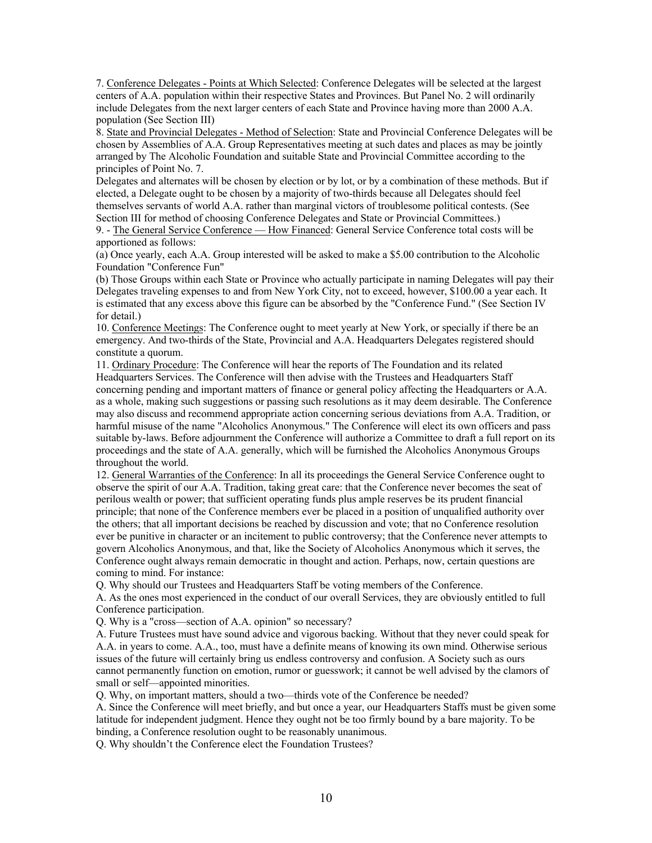7. Conference Delegates - Points at Which Selected: Conference Delegates will be selected at the largest centers of A.A. population within their respective States and Provinces. But Panel No. 2 will ordinarily include Delegates from the next larger centers of each State and Province having more than 2000 A.A. population (See Section III)

8. State and Provincial Delegates - Method of Selection: State and Provincial Conference Delegates will be chosen by Assemblies of A.A. Group Representatives meeting at such dates and places as may be jointly arranged by The Alcoholic Foundation and suitable State and Provincial Committee according to the principles of Point No. 7.

Delegates and alternates will be chosen by election or by lot, or by a combination of these methods. But if elected, a Delegate ought to be chosen by a majority of two-thirds because all Delegates should feel themselves servants of world A.A. rather than marginal victors of troublesome political contests. (See Section III for method of choosing Conference Delegates and State or Provincial Committees.)

9. - The General Service Conference — How Financed: General Service Conference total costs will be apportioned as follows:

(a) Once yearly, each A.A. Group interested will be asked to make a \$5.00 contribution to the Alcoholic Foundation "Conference Fun"

(b) Those Groups within each State or Province who actually participate in naming Delegates will pay their Delegates traveling expenses to and from New York City, not to exceed, however, \$100.00 a year each. It is estimated that any excess above this figure can be absorbed by the "Conference Fund." (See Section IV for detail.)

10. Conference Meetings: The Conference ought to meet yearly at New York, or specially if there be an emergency. And two-thirds of the State, Provincial and A.A. Headquarters Delegates registered should constitute a quorum.

11. Ordinary Procedure: The Conference will hear the reports of The Foundation and its related Headquarters Services. The Conference will then advise with the Trustees and Headquarters Staff concerning pending and important matters of finance or general policy affecting the Headquarters or A.A. as a whole, making such suggestions or passing such resolutions as it may deem desirable. The Conference may also discuss and recommend appropriate action concerning serious deviations from A.A. Tradition, or harmful misuse of the name "Alcoholics Anonymous." The Conference will elect its own officers and pass suitable by-laws. Before adjournment the Conference will authorize a Committee to draft a full report on its proceedings and the state of A.A. generally, which will be furnished the Alcoholics Anonymous Groups throughout the world.

12. General Warranties of the Conference: In all its proceedings the General Service Conference ought to observe the spirit of our A.A. Tradition, taking great care: that the Conference never becomes the seat of perilous wealth or power; that sufficient operating funds plus ample reserves be its prudent financial principle; that none of the Conference members ever be placed in a position of unqualified authority over the others; that all important decisions be reached by discussion and vote; that no Conference resolution ever be punitive in character or an incitement to public controversy; that the Conference never attempts to govern Alcoholics Anonymous, and that, like the Society of Alcoholics Anonymous which it serves, the Conference ought always remain democratic in thought and action. Perhaps, now, certain questions are coming to mind. For instance:

Q. Why should our Trustees and Headquarters Staff be voting members of the Conference.

A. As the ones most experienced in the conduct of our overall Services, they are obviously entitled to full Conference participation.

Q. Why is a "cross—section of A.A. opinion" so necessary?

A. Future Trustees must have sound advice and vigorous backing. Without that they never could speak for A.A. in years to come. A.A., too, must have a definite means of knowing its own mind. Otherwise serious issues of the future will certainly bring us endless controversy and confusion. A Society such as ours cannot permanently function on emotion, rumor or guesswork; it cannot be well advised by the clamors of small or self—appointed minorities.

Q. Why, on important matters, should a two—thirds vote of the Conference be needed?

A. Since the Conference will meet briefly, and but once a year, our Headquarters Staffs must be given some latitude for independent judgment. Hence they ought not be too firmly bound by a bare majority. To be binding, a Conference resolution ought to be reasonably unanimous.

Q. Why shouldn't the Conference elect the Foundation Trustees?